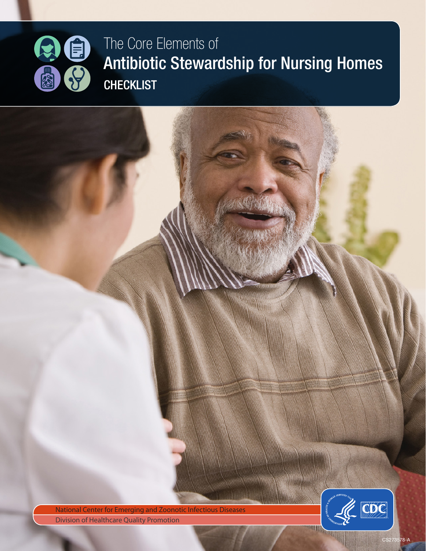

The Core Elements of Antibiotic Stewardship for Nursing Homes **CHECKLIST** 

National Center for Emerging and Zoonotic Infectious Diseases **Division of Healthcare Quality Promotion** 



相對

CS273578-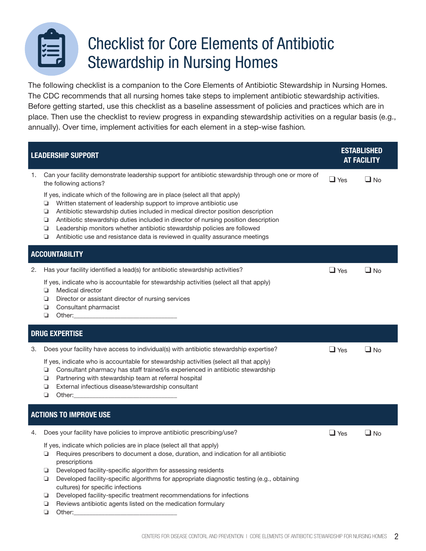

## Checklist for Core Elements of Antibiotic Stewardship in Nursing Homes

The following checklist is a companion to the Core Elements of Antibiotic Stewardship in Nursing Homes. The CDC recommends that all nursing homes take steps to implement antibiotic stewardship activities. Before getting started, use this checklist as a baseline assessment of policies and practices which are in place. Then use the checklist to review progress in expanding stewardship activities on a regular basis (e.g., annually). Over time, implement activities for each element in a step-wise fashion*.*

| <b>LEADERSHIP SUPPORT</b>     |                                                                                                                                                                                                                                                                                                                                                                                                                                                                                                                                                                                                                                                 | <b>ESTABLISHED</b><br><b>AT FACILITY</b> |              |  |
|-------------------------------|-------------------------------------------------------------------------------------------------------------------------------------------------------------------------------------------------------------------------------------------------------------------------------------------------------------------------------------------------------------------------------------------------------------------------------------------------------------------------------------------------------------------------------------------------------------------------------------------------------------------------------------------------|------------------------------------------|--------------|--|
| 1.                            | Can your facility demonstrate leadership support for antibiotic stewardship through one or more of<br>the following actions?<br>If yes, indicate which of the following are in place (select all that apply)<br>Written statement of leadership support to improve antibiotic use<br>⊐<br>Antibiotic stewardship duties included in medical director position description<br>❏<br>Antibiotic stewardship duties included in director of nursing position description<br>❏<br>Leadership monitors whether antibiotic stewardship policies are followed<br>❏<br>Antibiotic use and resistance data is reviewed in quality assurance meetings<br>❏ | $\Box$ Yes                               | $\square$ No |  |
| <b>ACCOUNTABILITY</b>         |                                                                                                                                                                                                                                                                                                                                                                                                                                                                                                                                                                                                                                                 |                                          |              |  |
| 2.                            | Has your facility identified a lead(s) for antibiotic stewardship activities?<br>If yes, indicate who is accountable for stewardship activities (select all that apply)<br>Medical director<br>❏<br>Director or assistant director of nursing services<br>❏<br>Consultant pharmacist<br>❏<br>❏                                                                                                                                                                                                                                                                                                                                                  | $\Box$ Yes                               | $\Box$ No    |  |
| <b>DRUG EXPERTISE</b>         |                                                                                                                                                                                                                                                                                                                                                                                                                                                                                                                                                                                                                                                 |                                          |              |  |
| З.                            | Does your facility have access to individual(s) with antibiotic stewardship expertise?<br>If yes, indicate who is accountable for stewardship activities (select all that apply)<br>Consultant pharmacy has staff trained/is experienced in antibiotic stewardship<br>❏<br>Partnering with stewardship team at referral hospital<br>❏<br>External infectious disease/stewardship consultant<br>❏<br>❏<br>Other: will be a series of the series of the series of the series of the series of the series of the series of the series of the series of the series of the series of the series of the series of the series of the series of         | $\Box$ Yes                               | $\square$ No |  |
| <b>ACTIONS TO IMPROVE USE</b> |                                                                                                                                                                                                                                                                                                                                                                                                                                                                                                                                                                                                                                                 |                                          |              |  |
| 4.                            | Does your facility have policies to improve antibiotic prescribing/use?<br>If yes, indicate which policies are in place (select all that apply)<br>Requires prescribers to document a dose, duration, and indication for all antibiotic<br>prescriptions<br>Developed facility-specific algorithm for assessing residents<br>❏<br>Developed facility-specific algorithms for appropriate diagnostic testing (e.g., obtaining<br>❏<br>cultures) for specific infections<br>Developed facility-specific treatment recommendations for infections<br>❏<br>Reviews antibiotic agents listed on the medication formulary<br>❏<br>❏<br>Other:         | $\Box$ Yes                               | $\Box$ No    |  |